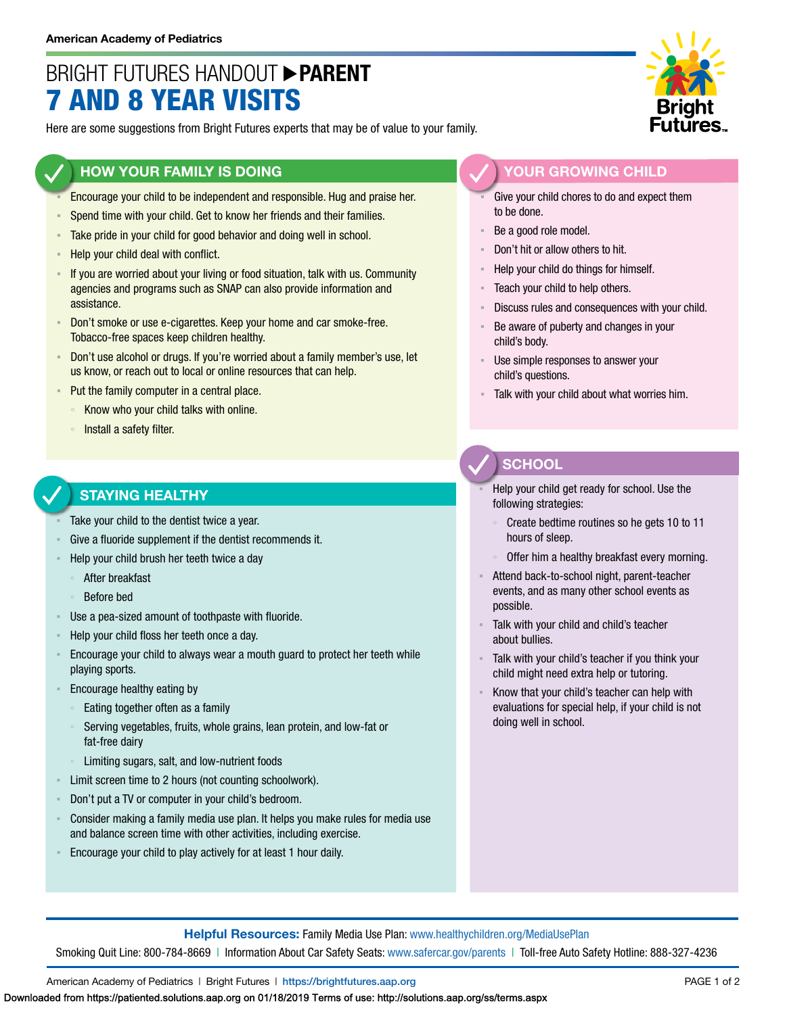# BRIGHT FUTURES HANDOUT **PARENT** 7 AND 8 YEAR VISITS

Here are some suggestions from Bright Futures experts that may be of value to your family.

### **HOW YOUR FAMILY IS DOING**

- Encourage your child to be independent and responsible. Hug and praise her.
- Spend time with your child. Get to know her friends and their families.
- **EXECT** Take pride in your child for good behavior and doing well in school.
- **EXEQUE FIGURE 10 Help your child deal with conflict.**
- If you are worried about your living or food situation, talk with us. Community agencies and programs such as SNAP can also provide information and assistance.
- Don't smoke or use e-cigarettes. Keep your home and car smoke-free. Tobacco-free spaces keep children healthy.
- Don't use alcohol or drugs. If you're worried about a family member's use, let us know, or reach out to local or online resources that can help.
- Put the family computer in a central place.
	- Know who your child talks with online.
	- Install a safety filter.

#### **STAYING HEALTHY**

- Take your child to the dentist twice a year.
- Give a fluoride supplement if the dentist recommends it.
- Help your child brush her teeth twice a day
	- After breakfast
	- Before bed
- Use a pea-sized amount of toothpaste with fluoride.
- Help your child floss her teeth once a day.
- Encourage your child to always wear a mouth guard to protect her teeth while playing sports.
- Encourage healthy eating by
	- Eating together often as a family
	- Serving vegetables, fruits, whole grains, lean protein, and low-fat or fat-free dairy
	- Limiting sugars, salt, and low-nutrient foods
- Limit screen time to 2 hours (not counting schoolwork).
- Don't put a TV or computer in your child's bedroom.
- Consider making a family media use plan. It helps you make rules for media use and balance screen time with other activities, including exercise.
- **Encourage your child to play actively for at least 1 hour daily.**



### **YOUR GROWING CHILD**

- Give your child chores to do and expect them to be done.
- Be a good role model.
- Don't hit or allow others to hit.
- Help your child do things for himself.
- Teach your child to help others.
- Discuss rules and consequences with your child.
- Be aware of puberty and changes in your child's body.
- Use simple responses to answer your child's questions.
- Talk with your child about what worries him.

## **SCHOOL**

- Help your child get ready for school. Use the following strategies:
- Create bedtime routines so he gets 10 to 11 hours of sleep.
- Offer him a healthy breakfast every morning.
- Attend back-to-school night, parent-teacher events, and as many other school events as possible.
- Talk with your child and child's teacher about bullies.
- Talk with your child's teacher if you think your child might need extra help or tutoring.
- Know that your child's teacher can help with evaluations for special help, if your child is not doing well in school.

**Helpful Resources:** Family Media Use Plan: [www.healthychildren.org/MediaUsePlan](https://www.healthychildren.org/English/media/Pages/default.aspx)

Smoking Quit Line: 800-784-8669 | Information About Car Safety Seats: [www.safercar.gov/parents](https://www.nhtsa.gov/parents-and-caregivers) | Toll-free Auto Safety Hotline: 888-327-4236

American Academy of Pediatrics | Bright Futures | https://[brightfutures.aap.org](https://brightfutures.aap.org/Pages/default.aspx) PAGE 1 of 2

Downloaded from https://patiented.solutions.aap.org on 01/18/2019 Terms of use: http://solutions.aap.org/ss/terms.aspx